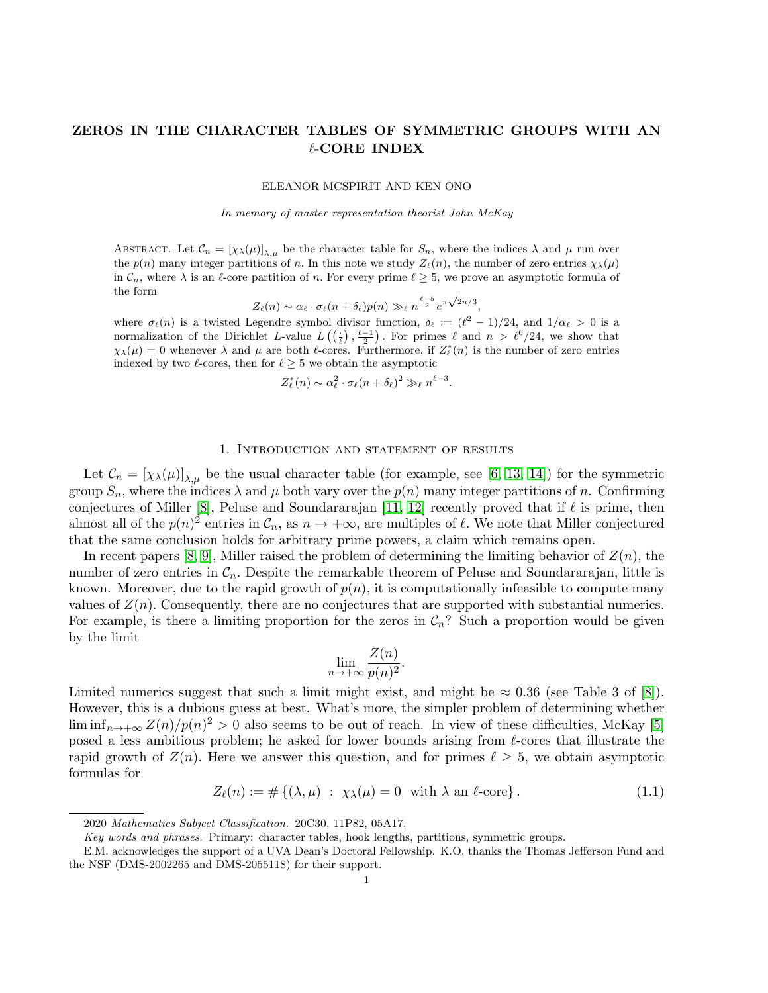# ZEROS IN THE CHARACTER TABLES OF SYMMETRIC GROUPS WITH AN ℓ-CORE INDEX

ELEANOR MCSPIRIT AND KEN ONO

In memory of master representation theorist John McKay

ABSTRACT. Let  $\mathcal{C}_n = [\chi_\lambda(\mu)]_{\lambda,\mu}$  be the character table for  $S_n$ , where the indices  $\lambda$  and  $\mu$  run over the  $p(n)$  many integer partitions of n. In this note we study  $Z_{\ell}(n)$ , the number of zero entries  $\chi_{\lambda}(\mu)$ in  $\mathcal{C}_n$ , where  $\lambda$  is an  $\ell$ -core partition of n. For every prime  $\ell > 5$ , we prove an asymptotic formula of the form

 $Z_{\ell}(n) \sim \alpha_{\ell} \cdot \sigma_{\ell}(n+\delta_{\ell}) p(n) \gg_{\ell} n^{\frac{\ell-5}{2}} e^{\pi \sqrt{2n/3}},$ 

where  $\sigma_{\ell}(n)$  is a twisted Legendre symbol divisor function,  $\delta_{\ell} := (\ell^2 - 1)/24$ , and  $1/\alpha_{\ell} > 0$  is a normalization of the Dirichlet L-value  $L((\frac{1}{\ell}), \frac{\ell-1}{2})$ . For primes  $\ell$  and  $n > \ell^6/24$ , we show that  $\chi_{\lambda}(\mu) = 0$  whenever  $\lambda$  and  $\mu$  are both  $\ell$ -cores. Furthermore, if  $Z_{\ell}^{*}(n)$  is the number of zero entries indexed by two  $\ell$ -cores, then for  $\ell \geq 5$  we obtain the asymptotic

$$
Z_{\ell}^{*}(n) \sim \alpha_{\ell}^{2} \cdot \sigma_{\ell}(n+\delta_{\ell})^{2} \gg_{\ell} n^{\ell-3}.
$$

### 1. Introduction and statement of results

Let  $\mathcal{C}_n = [\chi_\lambda(\mu)]_{\lambda,\mu}$  be the usual character table (for example, see [\[6,](#page-7-0) [13,](#page-7-1) [14\]](#page-7-2)) for the symmetric group  $S_n$ , where the indices  $\lambda$  and  $\mu$  both vary over the  $p(n)$  many integer partitions of n. Confirming conjectures of Miller [\[8\]](#page-7-3), Peluse and Soundararajan [\[11,](#page-7-4) [12\]](#page-7-5) recently proved that if  $\ell$  is prime, then almost all of the  $p(n)^2$  entries in  $\mathcal{C}_n$ , as  $n \to +\infty$ , are multiples of  $\ell$ . We note that Miller conjectured that the same conclusion holds for arbitrary prime powers, a claim which remains open.

In recent papers [\[8,](#page-7-3) [9\]](#page-7-6), Miller raised the problem of determining the limiting behavior of  $Z(n)$ , the number of zero entries in  $\mathcal{C}_n$ . Despite the remarkable theorem of Peluse and Soundararajan, little is known. Moreover, due to the rapid growth of  $p(n)$ , it is computationally infeasible to compute many values of  $Z(n)$ . Consequently, there are no conjectures that are supported with substantial numerics. For example, is there a limiting proportion for the zeros in  $C_n$ ? Such a proportion would be given by the limit

$$
\lim_{n \to +\infty} \frac{Z(n)}{p(n)^2}.
$$

Limited numerics suggest that such a limit might exist, and might be  $\approx 0.36$  (see Table 3 of [\[8\]](#page-7-3)). However, this is a dubious guess at best. What's more, the simpler problem of determining whether  $\liminf_{n\to+\infty}Z(n)/p(n)^2>0$  also seems to be out of reach. In view of these difficulties, McKay [\[5\]](#page-7-7) posed a less ambitious problem; he asked for lower bounds arising from ℓ-cores that illustrate the rapid growth of  $Z(n)$ . Here we answer this question, and for primes  $\ell \geq 5$ , we obtain asymptotic formulas for

$$
Z_{\ell}(n) := \# \{ (\lambda, \mu) : \ \chi_{\lambda}(\mu) = 0 \ \text{ with } \lambda \text{ an } \ell\text{-core} \}. \tag{1.1}
$$

<sup>2020</sup> Mathematics Subject Classification. 20C30, 11P82, 05A17.

Key words and phrases. Primary: character tables, hook lengths, partitions, symmetric groups.

E.M. acknowledges the support of a UVA Dean's Doctoral Fellowship. K.O. thanks the Thomas Jefferson Fund and the NSF (DMS-2002265 and DMS-2055118) for their support.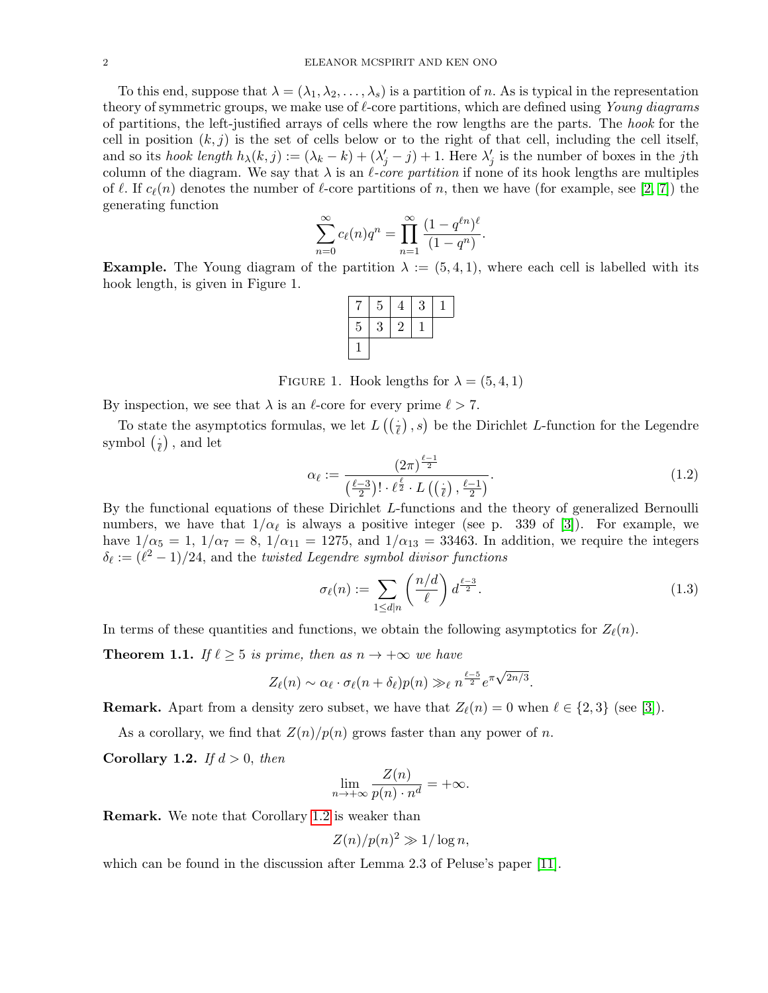To this end, suppose that  $\lambda = (\lambda_1, \lambda_2, \dots, \lambda_s)$  is a partition of n. As is typical in the representation theory of symmetric groups, we make use of  $\ell$ -core partitions, which are defined using Young diagrams of partitions, the left-justified arrays of cells where the row lengths are the parts. The hook for the cell in position  $(k, j)$  is the set of cells below or to the right of that cell, including the cell itself, and so its hook length  $h_{\lambda}(k, j) := (\lambda_k - k) + (\lambda'_j - j) + 1$ . Here  $\lambda'_j$  is the number of boxes in the jth column of the diagram. We say that  $\lambda$  is an  $\ell$ -core partition if none of its hook lengths are multiples of  $\ell$ . If  $c_{\ell}(n)$  denotes the number of  $\ell$ -core partitions of n, then we have (for example, see [\[2,](#page-7-8) [7\]](#page-7-9)) the generating function

$$
\sum_{n=0}^{\infty} c_{\ell}(n) q^{n} = \prod_{n=1}^{\infty} \frac{(1 - q^{\ell n})^{\ell}}{(1 - q^{n})}.
$$

**Example.** The Young diagram of the partition  $\lambda := (5, 4, 1)$ , where each cell is labelled with its hook length, is given in Figure 1.

|                | 5 | 4 | 3 |  |
|----------------|---|---|---|--|
| $\overline{5}$ | 3 | 2 |   |  |
|                |   |   |   |  |

FIGURE 1. Hook lengths for  $\lambda = (5, 4, 1)$ 

By inspection, we see that  $\lambda$  is an  $\ell$ -core for every prime  $\ell > 7$ .

To state the asymptotics formulas, we let  $L((\frac{1}{\ell}), s)$  be the Dirichlet L-function for the Legendre symbol  $(\frac{1}{\ell})$  $\frac{1}{\ell}$ , and let

<span id="page-1-2"></span>
$$
\alpha_{\ell} := \frac{\left(2\pi\right)^{\frac{\ell-1}{2}}}{\left(\frac{\ell-3}{2}\right)! \cdot \ell^{\frac{\ell}{2}} \cdot L\left(\left(\frac{1}{\ell}\right), \frac{\ell-1}{2}\right)}.\tag{1.2}
$$

By the functional equations of these Dirichlet L-functions and the theory of generalized Bernoulli numbers, we have that  $1/\alpha_{\ell}$  is always a positive integer (see p. 339 of [\[3\]](#page-7-10)). For example, we have  $1/\alpha_5 = 1$ ,  $1/\alpha_7 = 8$ ,  $1/\alpha_{11} = 1275$ , and  $1/\alpha_{13} = 33463$ . In addition, we require the integers  $\delta_{\ell} := (\ell^2 - 1)/24$ , and the *twisted Legendre symbol divisor functions* 

<span id="page-1-3"></span>
$$
\sigma_{\ell}(n) := \sum_{1 \le d|n} \left(\frac{n/d}{\ell}\right) d^{\frac{\ell-3}{2}}.
$$
\n(1.3)

In terms of these quantities and functions, we obtain the following asymptotics for  $Z_{\ell}(n)$ .

<span id="page-1-1"></span>**Theorem 1.1.** If  $\ell \geq 5$  is prime, then as  $n \to +\infty$  we have

$$
Z_{\ell}(n) \sim \alpha_{\ell} \cdot \sigma_{\ell}(n+\delta_{\ell}) p(n) \gg_{\ell} n^{\frac{\ell-5}{2}} e^{\pi \sqrt{2n/3}}.
$$

**Remark.** Apart from a density zero subset, we have that  $Z_{\ell}(n) = 0$  when  $\ell \in \{2,3\}$  (see [\[3\]](#page-7-10)).

As a corollary, we find that  $Z(n)/p(n)$  grows faster than any power of n.

<span id="page-1-0"></span>Corollary 1.2. If  $d > 0$ , then

$$
\lim_{n \to +\infty} \frac{Z(n)}{p(n) \cdot n^d} = +\infty.
$$

Remark. We note that Corollary [1.2](#page-1-0) is weaker than

$$
Z(n)/p(n)^2 \gg 1/\log n,
$$

which can be found in the discussion after Lemma 2.3 of Peluse's paper [\[11\]](#page-7-4).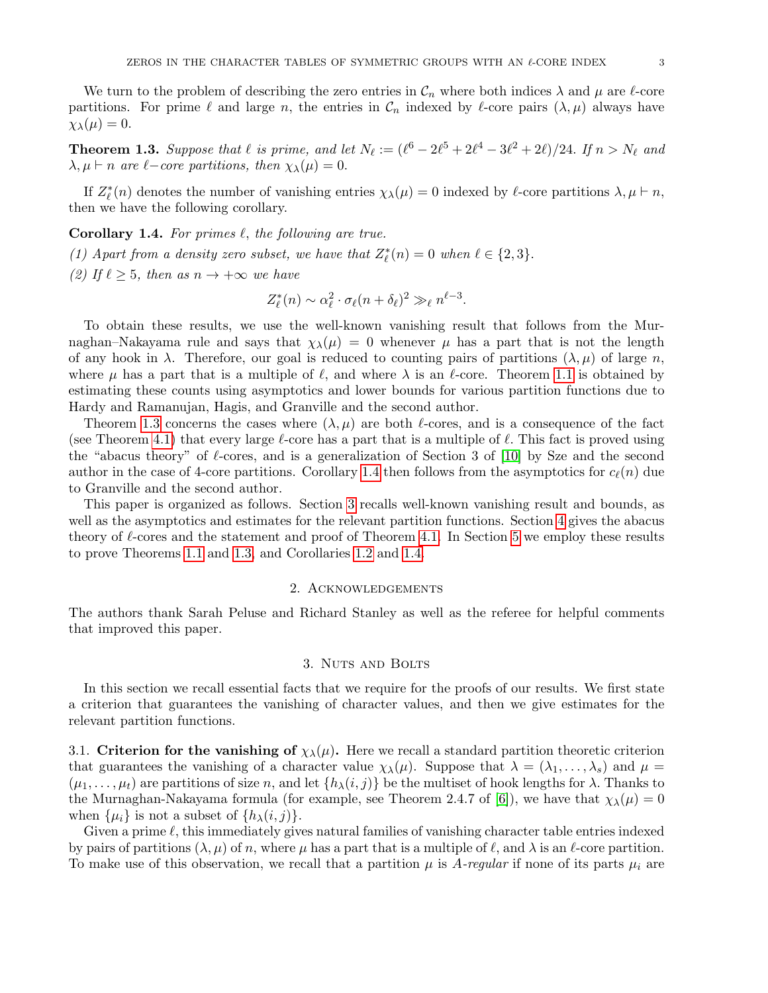We turn to the problem of describing the zero entries in  $\mathcal{C}_n$  where both indices  $\lambda$  and  $\mu$  are  $\ell$ -core partitions. For prime  $\ell$  and large n, the entries in  $\mathcal{C}_n$  indexed by  $\ell$ -core pairs  $(\lambda, \mu)$  always have  $\chi_{\lambda}(\mu) = 0.$ 

<span id="page-2-0"></span>**Theorem 1.3.** Suppose that  $\ell$  is prime, and let  $N_{\ell} := (\ell^6 - 2\ell^5 + 2\ell^4 - 3\ell^2 + 2\ell)/24$ . If  $n > N_{\ell}$  and  $\lambda, \mu \vdash n$  are  $\ell$ -core partitions, then  $\chi_{\lambda}(\mu) = 0$ .

If  $Z_{\ell}^*(n)$  denotes the number of vanishing entries  $\chi_{\lambda}(\mu) = 0$  indexed by  $\ell$ -core partitions  $\lambda, \mu \vdash n$ , then we have the following corollary.

<span id="page-2-1"></span>**Corollary 1.4.** For primes  $\ell$ , the following are true.

(1) Apart from a density zero subset, we have that  $Z_{\ell}^*(n) = 0$  when  $\ell \in \{2,3\}$ .

(2) If  $\ell \geq 5$ , then as  $n \to +\infty$  we have

$$
Z_{\ell}^*(n) \sim \alpha_{\ell}^2 \cdot \sigma_{\ell}(n+\delta_{\ell})^2 \gg_{\ell} n^{\ell-3}.
$$

To obtain these results, we use the well-known vanishing result that follows from the Murnaghan–Nakayama rule and says that  $\chi_{\lambda}(\mu) = 0$  whenever  $\mu$  has a part that is not the length of any hook in  $\lambda$ . Therefore, our goal is reduced to counting pairs of partitions  $(\lambda, \mu)$  of large n, where  $\mu$  has a part that is a multiple of  $\ell$ , and where  $\lambda$  is an  $\ell$ -core. Theorem [1.1](#page-1-1) is obtained by estimating these counts using asymptotics and lower bounds for various partition functions due to Hardy and Ramanujan, Hagis, and Granville and the second author.

Theorem [1.3](#page-2-0) concerns the cases where  $(\lambda, \mu)$  are both  $\ell$ -cores, and is a consequence of the fact (see Theorem [4.1\)](#page-4-0) that every large  $\ell$ -core has a part that is a multiple of  $\ell$ . This fact is proved using the "abacus theory" of  $\ell$ -cores, and is a generalization of Section 3 of [\[10\]](#page-7-11) by Sze and the second author in the case of 4-core partitions. Corollary [1.4](#page-2-1) then follows from the asymptotics for  $c_{\ell}(n)$  due to Granville and the second author.

This paper is organized as follows. Section [3](#page-2-2) recalls well-known vanishing result and bounds, as well as the asymptotics and estimates for the relevant partition functions. Section [4](#page-4-1) gives the abacus theory of  $\ell$ -cores and the statement and proof of Theorem [4.1.](#page-4-0) In Section [5](#page-6-0) we employ these results to prove Theorems [1.1](#page-1-1) and [1.3,](#page-2-0) and Corollaries [1.2](#page-1-0) and [1.4.](#page-2-1)

## 2. Acknowledgements

The authors thank Sarah Peluse and Richard Stanley as well as the referee for helpful comments that improved this paper.

### 3. Nuts and Bolts

<span id="page-2-2"></span>In this section we recall essential facts that we require for the proofs of our results. We first state a criterion that guarantees the vanishing of character values, and then we give estimates for the relevant partition functions.

3.1. Criterion for the vanishing of  $\chi_{\lambda}(\mu)$ . Here we recall a standard partition theoretic criterion that guarantees the vanishing of a character value  $\chi_{\lambda}(\mu)$ . Suppose that  $\lambda = (\lambda_1, \ldots, \lambda_s)$  and  $\mu =$  $(\mu_1, \ldots, \mu_t)$  are partitions of size n, and let  $\{h_\lambda(i,j)\}\$ be the multiset of hook lengths for  $\lambda$ . Thanks to the Murnaghan-Nakayama formula (for example, see Theorem 2.4.7 of [\[6\]](#page-7-0)), we have that  $\chi_{\lambda}(\mu) = 0$ when  $\{\mu_i\}$  is not a subset of  $\{h_\lambda(i,j)\}.$ 

Given a prime  $\ell$ , this immediately gives natural families of vanishing character table entries indexed by pairs of partitions  $(\lambda, \mu)$  of n, where  $\mu$  has a part that is a multiple of  $\ell$ , and  $\lambda$  is an  $\ell$ -core partition. To make use of this observation, we recall that a partition  $\mu$  is A-regular if none of its parts  $\mu_i$  are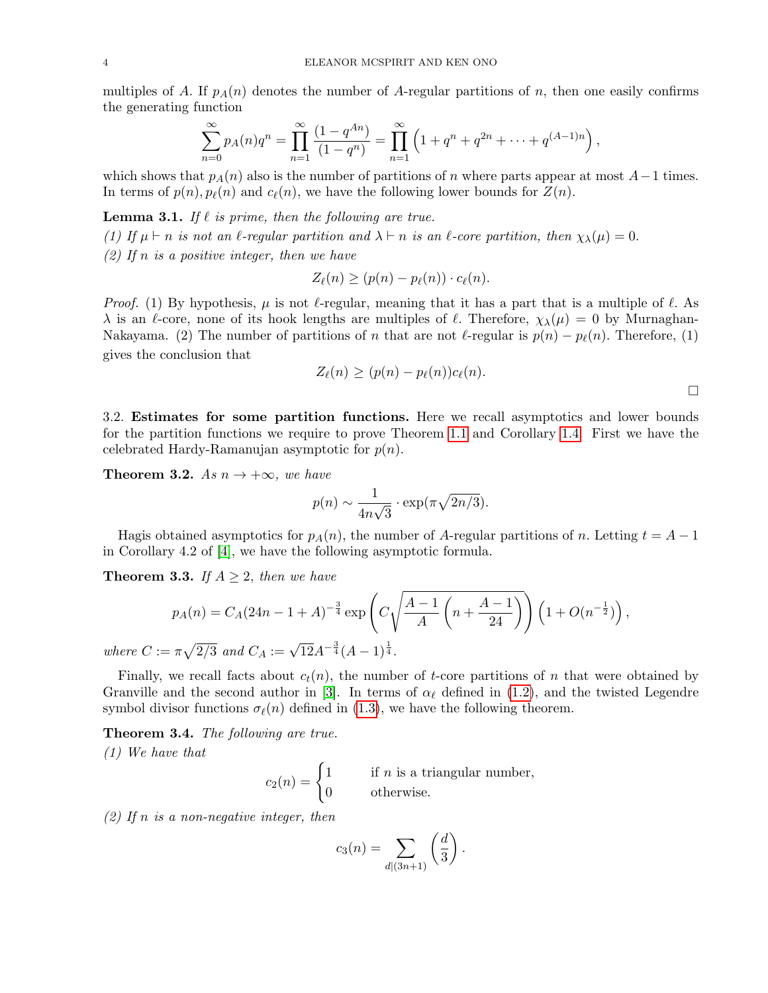multiples of A. If  $p_A(n)$  denotes the number of A-regular partitions of n, then one easily confirms the generating function

$$
\sum_{n=0}^{\infty} p_A(n)q^n = \prod_{n=1}^{\infty} \frac{(1-q^{An})}{(1-q^n)} = \prod_{n=1}^{\infty} \left(1+q^n+q^{2n}+\cdots+q^{(A-1)n}\right),
$$

which shows that  $p_A(n)$  also is the number of partitions of n where parts appear at most  $A-1$  times. In terms of  $p(n)$ ,  $p_{\ell}(n)$  and  $c_{\ell}(n)$ , we have the following lower bounds for  $Z(n)$ .

<span id="page-3-2"></span>**Lemma 3.1.** If  $\ell$  is prime, then the following are true.

(1) If  $\mu \vdash n$  is not an  $\ell$ -regular partition and  $\lambda \vdash n$  is an  $\ell$ -core partition, then  $\chi_{\lambda}(\mu) = 0$ .

 $(2)$  If n is a positive integer, then we have

$$
Z_{\ell}(n) \ge (p(n) - p_{\ell}(n)) \cdot c_{\ell}(n).
$$

*Proof.* (1) By hypothesis,  $\mu$  is not  $\ell$ -regular, meaning that it has a part that is a multiple of  $\ell$ . As  $\lambda$  is an  $\ell$ -core, none of its hook lengths are multiples of  $\ell$ . Therefore,  $\chi_{\lambda}(\mu) = 0$  by Murnaghan-Nakayama. (2) The number of partitions of n that are not  $\ell$ -regular is  $p(n) - p_{\ell}(n)$ . Therefore, (1) gives the conclusion that

$$
Z_{\ell}(n) \ge (p(n) - p_{\ell}(n))c_{\ell}(n).
$$

3.2. Estimates for some partition functions. Here we recall asymptotics and lower bounds for the partition functions we require to prove Theorem [1.1](#page-1-1) and Corollary [1.4.](#page-2-1) First we have the celebrated Hardy-Ramanujan asymptotic for  $p(n)$ .

<span id="page-3-0"></span>**Theorem 3.2.** As  $n \to +\infty$ , we have

$$
p(n) \sim \frac{1}{4n\sqrt{3}} \cdot \exp(\pi \sqrt{2n/3}).
$$

Hagis obtained asymptotics for  $p_A(n)$ , the number of A-regular partitions of n. Letting  $t = A - 1$ in Corollary 4.2 of [\[4\]](#page-7-12), we have the following asymptotic formula.

<span id="page-3-1"></span>**Theorem 3.3.** If  $A \geq 2$ , then we have

$$
p_A(n) = C_A(24n - 1 + A)^{-\frac{3}{4}} \exp\left(C\sqrt{\frac{A-1}{A}\left(n + \frac{A-1}{24}\right)}\right) \left(1 + O(n^{-\frac{1}{2}})\right),
$$
  
=  $\pi\sqrt{2/3}$  and  $C_A := \sqrt{12}A^{-\frac{3}{4}}(A-1)^{\frac{1}{4}}.$ 

where  $C$  :  $\sqrt{}$ 12A  $\frac{3}{4} (A-1)^{\frac{1}{4}}$  $\frac{1}{4}$ .

Finally, we recall facts about  $c_t(n)$ , the number of t-core partitions of n that were obtained by Granville and the second author in [\[3\]](#page-7-10). In terms of  $\alpha_{\ell}$  defined in [\(1.2\)](#page-1-2), and the twisted Legendre symbol divisor functions  $\sigma_{\ell}(n)$  defined in [\(1.3\)](#page-1-3), we have the following theorem.

<span id="page-3-3"></span>Theorem 3.4. The following are true.

(1) We have that

$$
c_2(n) = \begin{cases} 1 & \text{if } n \text{ is a triangular number,} \\ 0 & \text{otherwise.} \end{cases}
$$

 $(2)$  If n is a non-negative integer, then

$$
c_3(n) = \sum_{d|(3n+1)} \left(\frac{d}{3}\right).
$$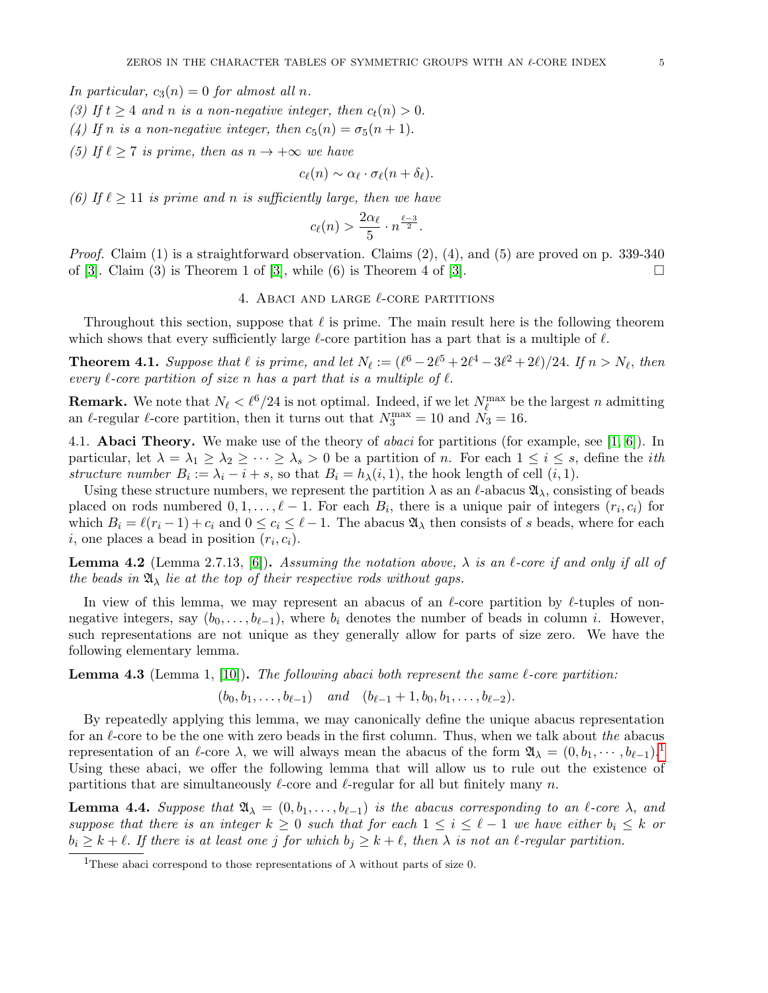In particular,  $c_3(n) = 0$  for almost all n.

- (3) If  $t \geq 4$  and n is a non-negative integer, then  $c_t(n) > 0$ .
- (4) If n is a non-negative integer, then  $c_5(n) = \sigma_5(n+1)$ .
- (5) If  $\ell \geq 7$  is prime, then as  $n \to +\infty$  we have

$$
c_{\ell}(n) \sim \alpha_{\ell} \cdot \sigma_{\ell}(n+\delta_{\ell}).
$$

(6) If  $\ell \geq 11$  is prime and n is sufficiently large, then we have

$$
c_{\ell}(n) > \frac{2\alpha_{\ell}}{5} \cdot n^{\frac{\ell-3}{2}}.
$$

*Proof.* Claim  $(1)$  is a straightforward observation. Claims  $(2)$ ,  $(4)$ , and  $(5)$  are proved on p. 339-340 of [\[3\]](#page-7-10). Claim (3) is Theorem 1 of [3], while (6) is Theorem 4 of [3].  $\Box$ 

# 4. ABACI AND LARGE  $\ell$ -CORE PARTITIONS

<span id="page-4-1"></span>Throughout this section, suppose that  $\ell$  is prime. The main result here is the following theorem which shows that every sufficiently large  $\ell$ -core partition has a part that is a multiple of  $\ell$ .

<span id="page-4-0"></span>**Theorem 4.1.** Suppose that  $\ell$  is prime, and let  $N_{\ell} := (\ell^6 - 2\ell^5 + 2\ell^4 - 3\ell^2 + 2\ell)/24$ . If  $n > N_{\ell}$ , then every  $\ell$ -core partition of size n has a part that is a multiple of  $\ell$ .

**Remark.** We note that  $N_{\ell} < \ell^6/24$  is not optimal. Indeed, if we let  $N_{\ell}^{\max}$  be the largest n admitting an  $\ell$ -regular  $\ell$ -core partition, then it turns out that  $N_3^{\text{max}} = 10$  and  $N_3 = 16$ .

4.1. **Abaci Theory.** We make use of the theory of *abaci* for partitions (for example, see [\[1,](#page-7-13) [6\]](#page-7-0)). In particular, let  $\lambda = \lambda_1 \geq \lambda_2 \geq \cdots \geq \lambda_s > 0$  be a partition of n. For each  $1 \leq i \leq s$ , define the *i*th structure number  $B_i := \lambda_i - i + s$ , so that  $B_i = h_\lambda(i, 1)$ , the hook length of cell  $(i, 1)$ .

Using these structure numbers, we represent the partition  $\lambda$  as an  $\ell$ -abacus  $\mathfrak{A}_{\lambda}$ , consisting of beads placed on rods numbered  $0, 1, \ldots, \ell - 1$ . For each  $B_i$ , there is a unique pair of integers  $(r_i, c_i)$  for which  $B_i = \ell(r_i-1) + c_i$  and  $0 \le c_i \le \ell - 1$ . The abacus  $\mathfrak{A}_{\lambda}$  then consists of s beads, where for each  $i$ , one places a bead in position  $(r_i, c_i)$ .

**Lemma 4.2** (Lemma 2.7.13, [\[6\]](#page-7-0)). Assuming the notation above,  $\lambda$  is an  $\ell$ -core if and only if all of the beads in  $\mathfrak{A}_{\lambda}$  lie at the top of their respective rods without gaps.

In view of this lemma, we may represent an abacus of an  $\ell$ -core partition by  $\ell$ -tuples of nonnegative integers, say  $(b_0, \ldots, b_{\ell-1})$ , where  $b_i$  denotes the number of beads in column i. However, such representations are not unique as they generally allow for parts of size zero. We have the following elementary lemma.

**Lemma 4.3** (Lemma 1, [\[10\]](#page-7-11)). The following abaci both represent the same  $\ell$ -core partition:

 $(b_0, b_1, \ldots, b_{\ell-1})$  and  $(b_{\ell-1} + 1, b_0, b_1, \ldots, b_{\ell-2}).$ 

By repeatedly applying this lemma, we may canonically define the unique abacus representation for an  $\ell$ -core to be the one with zero beads in the first column. Thus, when we talk about the abacus representation of an  $\ell$ -core  $\lambda$ , we will always mean the abacus of the form  $\mathfrak{A}_{\lambda} = (0, b_1, \cdots, b_{\ell-1})$  $\mathfrak{A}_{\lambda} = (0, b_1, \cdots, b_{\ell-1})$  $\mathfrak{A}_{\lambda} = (0, b_1, \cdots, b_{\ell-1})$ . Using these abaci, we offer the following lemma that will allow us to rule out the existence of partitions that are simultaneously  $\ell$ -core and  $\ell$ -regular for all but finitely many n.

<span id="page-4-3"></span>**Lemma 4.4.** Suppose that  $\mathfrak{A}_{\lambda} = (0, b_1, \ldots, b_{\ell-1})$  is the abacus corresponding to an  $\ell$ -core  $\lambda$ , and suppose that there is an integer  $k \geq 0$  such that for each  $1 \leq i \leq \ell - 1$  we have either  $b_i \leq k$  or  $b_i \geq k + \ell$ . If there is at least one j for which  $b_j \geq k + \ell$ , then  $\lambda$  is not an  $\ell$ -regular partition.

<span id="page-4-2"></span><sup>&</sup>lt;sup>1</sup>These abaci correspond to those representations of  $\lambda$  without parts of size 0.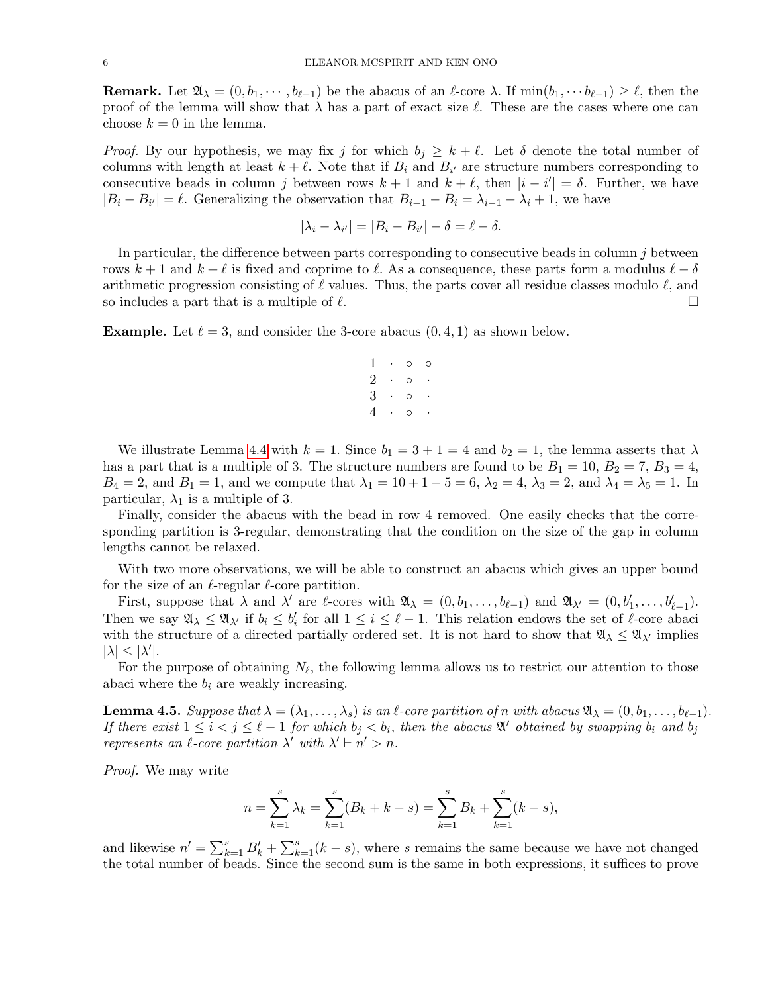**Remark.** Let  $\mathfrak{A}_{\lambda} = (0, b_1, \dots, b_{\ell-1})$  be the abacus of an  $\ell$ -core  $\lambda$ . If  $\min(b_1, \dots, b_{\ell-1}) \geq \ell$ , then the proof of the lemma will show that  $\lambda$  has a part of exact size  $\ell$ . These are the cases where one can choose  $k = 0$  in the lemma.

*Proof.* By our hypothesis, we may fix j for which  $b_j \geq k + \ell$ . Let  $\delta$  denote the total number of columns with length at least  $k + \ell$ . Note that if  $B_i$  and  $B_{i'}$  are structure numbers corresponding to consecutive beads in column j between rows  $k + 1$  and  $k + \ell$ , then  $|i - i'| = \delta$ . Further, we have  $|B_i - B_{i'}| = \ell$ . Generalizing the observation that  $B_{i-1} - B_i = \lambda_{i-1} - \lambda_i + 1$ , we have

$$
|\lambda_i - \lambda_{i'}| = |B_i - B_{i'}| - \delta = \ell - \delta.
$$

In particular, the difference between parts corresponding to consecutive beads in column  $j$  between rows  $k + 1$  and  $k + \ell$  is fixed and coprime to  $\ell$ . As a consequence, these parts form a modulus  $\ell - \delta$ arithmetic progression consisting of  $\ell$  values. Thus, the parts cover all residue classes modulo  $\ell$ , and so includes a part that is a multiple of  $\ell$ .  $\Box$ 

**Example.** Let  $\ell = 3$ , and consider the 3-core abacus  $(0, 4, 1)$  as shown below.



We illustrate Lemma [4.4](#page-4-3) with  $k = 1$ . Since  $b_1 = 3 + 1 = 4$  and  $b_2 = 1$ , the lemma asserts that  $\lambda$ has a part that is a multiple of 3. The structure numbers are found to be  $B_1 = 10$ ,  $B_2 = 7$ ,  $B_3 = 4$ ,  $B_4 = 2$ , and  $B_1 = 1$ , and we compute that  $\lambda_1 = 10 + 1 - 5 = 6$ ,  $\lambda_2 = 4$ ,  $\lambda_3 = 2$ , and  $\lambda_4 = \lambda_5 = 1$ . In particular,  $\lambda_1$  is a multiple of 3.

Finally, consider the abacus with the bead in row 4 removed. One easily checks that the corresponding partition is 3-regular, demonstrating that the condition on the size of the gap in column lengths cannot be relaxed.

With two more observations, we will be able to construct an abacus which gives an upper bound for the size of an  $\ell$ -regular  $\ell$ -core partition.

First, suppose that  $\lambda$  and  $\lambda'$  are  $\ell$ -cores with  $\mathfrak{A}_{\lambda} = (0, b_1, \ldots, b_{\ell-1})$  and  $\mathfrak{A}_{\lambda'} = (0, b'_1, \ldots, b'_{\ell-1})$ . Then we say  $\mathfrak{A}_{\lambda} \leq \mathfrak{A}_{\lambda'}$  if  $b_i \leq b'_i$  for all  $1 \leq i \leq \ell - 1$ . This relation endows the set of  $\ell$ -core abaci with the structure of a directed partially ordered set. It is not hard to show that  $\mathfrak{A}_{\lambda} \leq \mathfrak{A}_{\lambda'}$  implies  $|\lambda| \leq |\lambda'|$ .

For the purpose of obtaining  $N_{\ell}$ , the following lemma allows us to restrict our attention to those abaci where the  $b_i$  are weakly increasing.

<span id="page-5-0"></span>**Lemma 4.5.** Suppose that  $\lambda = (\lambda_1, \ldots, \lambda_s)$  is an  $\ell$ -core partition of n with abacus  $\mathfrak{A}_{\lambda} = (0, b_1, \ldots, b_{\ell-1})$ . If there exist  $1 \leq i < j \leq \ell - 1$  for which  $b_j < b_i$ , then the abacus  $\mathfrak{A}'$  obtained by swapping  $b_i$  and  $b_j$ represents an  $\ell$ -core partition  $\lambda'$  with  $\lambda' \vdash n' > n$ .

Proof. We may write

$$
n = \sum_{k=1}^{s} \lambda_k = \sum_{k=1}^{s} (B_k + k - s) = \sum_{k=1}^{s} B_k + \sum_{k=1}^{s} (k - s),
$$

and likewise  $n' = \sum_{k=1}^{s} B'_k + \sum_{k=1}^{s} (k - s)$ , where s remains the same because we have not changed the total number of beads. Since the second sum is the same in both expressions, it suffices to prove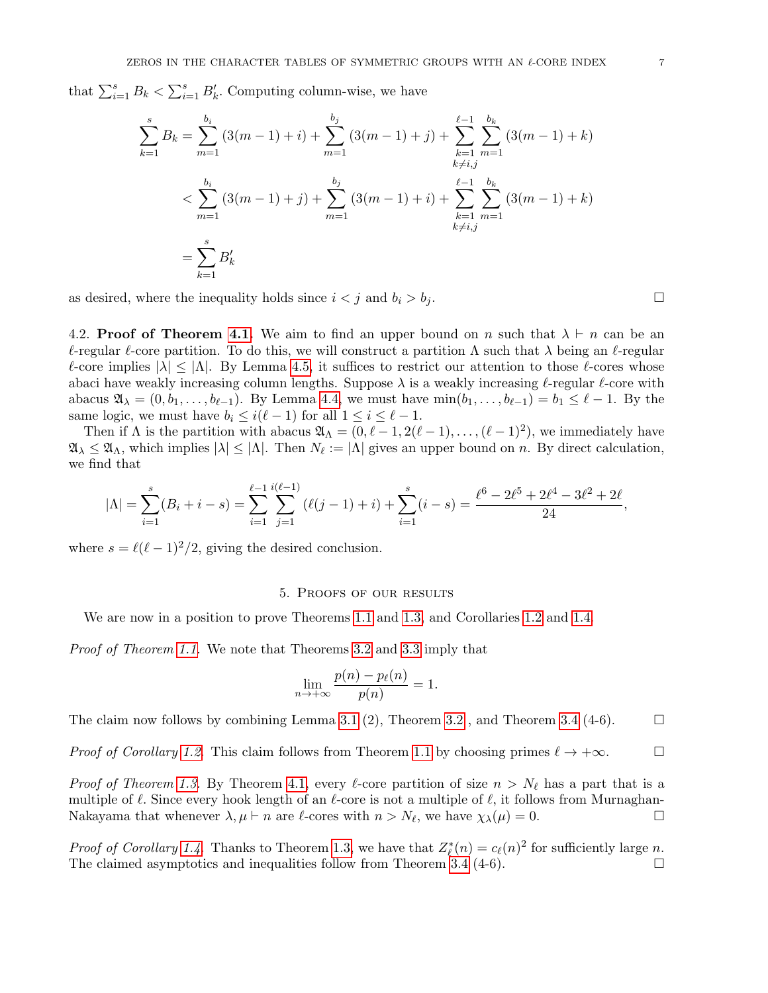that  $\sum_{i=1}^{s} B_k < \sum_{i=1}^{s} B'_k$ . Computing column-wise, we have

$$
\sum_{k=1}^{s} B_k = \sum_{m=1}^{b_i} (3(m-1) + i) + \sum_{m=1}^{b_j} (3(m-1) + j) + \sum_{\substack{k=1 \ k \neq i,j}}^{\ell-1} \sum_{m=1}^{b_k} (3(m-1) + k)
$$
  

$$
< \sum_{m=1}^{b_i} (3(m-1) + j) + \sum_{m=1}^{b_j} (3(m-1) + i) + \sum_{\substack{k=1 \ k \neq i,j}}^{\ell-1} \sum_{m=1}^{b_k} (3(m-1) + k)
$$
  

$$
= \sum_{k=1}^{s} B'_k
$$

as desired, where the inequality holds since  $i < j$  and  $b_i > b_j$ .

4.2. **Proof of Theorem [4.1.](#page-4-0)** We aim to find an upper bound on n such that  $\lambda \vdash n$  can be an  $\ell$ -regular  $\ell$ -core partition. To do this, we will construct a partition  $\Lambda$  such that  $\lambda$  being an  $\ell$ -regular  $\ell$ -core implies  $|\lambda| \leq |\Lambda|$ . By Lemma [4.5,](#page-5-0) it suffices to restrict our attention to those  $\ell$ -cores whose abaci have weakly increasing column lengths. Suppose  $\lambda$  is a weakly increasing  $\ell$ -regular  $\ell$ -core with abacus  $\mathfrak{A}_{\lambda} = (0, b_1, \ldots, b_{\ell-1})$ . By Lemma [4.4,](#page-4-3) we must have  $\min(b_1, \ldots, b_{\ell-1}) = b_1 \leq \ell - 1$ . By the same logic, we must have  $b_i \leq i(\ell-1)$  for all  $1 \leq i \leq \ell-1$ .

Then if  $\Lambda$  is the partition with abacus  $\mathfrak{A}_{\Lambda} = (0, \ell - 1, 2(\ell - 1), \ldots, (\ell - 1)^2)$ , we immediately have  $\mathfrak{A}_{\lambda} \leq \mathfrak{A}_{\Lambda}$ , which implies  $|\lambda| \leq |\Lambda|$ . Then  $N_{\ell} := |\Lambda|$  gives an upper bound on n. By direct calculation, we find that

$$
|\Lambda| = \sum_{i=1}^{s} (B_i + i - s) = \sum_{i=1}^{\ell-1} \sum_{j=1}^{i(\ell-1)} (\ell(j-1) + i) + \sum_{i=1}^{s} (i-s) = \frac{\ell^6 - 2\ell^5 + 2\ell^4 - 3\ell^2 + 2\ell}{24},
$$

where  $s = \ell(\ell-1)^2/2$ , giving the desired conclusion.

### 5. Proofs of our results

<span id="page-6-0"></span>We are now in a position to prove Theorems [1.1](#page-1-1) and [1.3,](#page-2-0) and Corollaries [1.2](#page-1-0) and [1.4.](#page-2-1)

Proof of Theorem [1.1.](#page-1-1) We note that Theorems [3.2](#page-3-0) and [3.3](#page-3-1) imply that

$$
\lim_{n \to +\infty} \frac{p(n) - p_{\ell}(n)}{p(n)} = 1.
$$

The claim now follows by combining Lemma [3.1](#page-3-2) (2), Theorem [3.2](#page-3-0), and Theorem [3.4](#page-3-3) (4-6).  $\Box$ 

*Proof of Corollary [1.2.](#page-1-0)* This claim follows from Theorem [1.1](#page-1-1) by choosing primes  $\ell \to +\infty$ . □

*Proof of Theorem [1.3.](#page-2-0)* By Theorem [4.1,](#page-4-0) every  $\ell$ -core partition of size  $n > N_{\ell}$  has a part that is a multiple of  $\ell$ . Since every hook length of an  $\ell$ -core is not a multiple of  $\ell$ , it follows from Murnaghan-Nakayama that whenever  $\lambda, \mu \vdash n$  are  $\ell$ -cores with  $n > N_{\ell}$ , we have  $\chi_{\lambda}(\mu) = 0$ .

*Proof of Corollary [1.4.](#page-2-1)* Thanks to Theorem [1.3,](#page-2-0) we have that  $Z_{\ell}^*(n) = c_{\ell}(n)^2$  for sufficiently large n. The claimed asymptotics and inequalities follow from Theorem [3.4](#page-3-3)  $(4-6)$ .  $\Box$